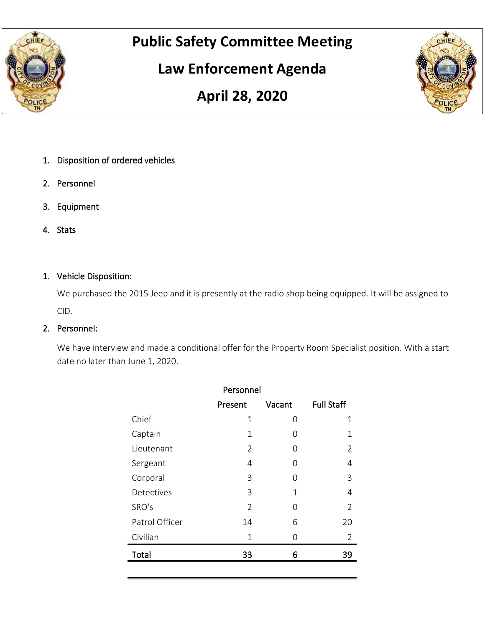

# **Public Safety Committee Meeting**

## **Law Enforcement Agenda**



## **April 28, 2020**

- 1. Disposition of ordered vehicles
- 2. Personnel
- 3. Equipment
- 4. Stats

### 1. Vehicle Disposition:

We purchased the 2015 Jeep and it is presently at the radio shop being equipped. It will be assigned to CID.

### 2. Personnel:

We have interview and made a conditional offer for the Property Room Specialist position. With a start date no later than June 1, 2020.

|                | Personnel      |        |                   |
|----------------|----------------|--------|-------------------|
|                | Present        | Vacant | <b>Full Staff</b> |
| Chief          | 1              | 0      | 1                 |
| Captain        | 1              | Ω      | 1                 |
| Lieutenant     | 2              | Ω      | 2                 |
| Sergeant       | 4              | Ω      | 4                 |
| Corporal       | 3              | Ω      | 3                 |
| Detectives     | 3              | 1      | 4                 |
| SRO's          | $\mathfrak{D}$ | Ω      | 2                 |
| Patrol Officer | 14             | 6      | 20                |
| Civilian       | 1              | Ω      | $\overline{2}$    |
| Total          | 33             | 6      | 39                |
|                |                |        |                   |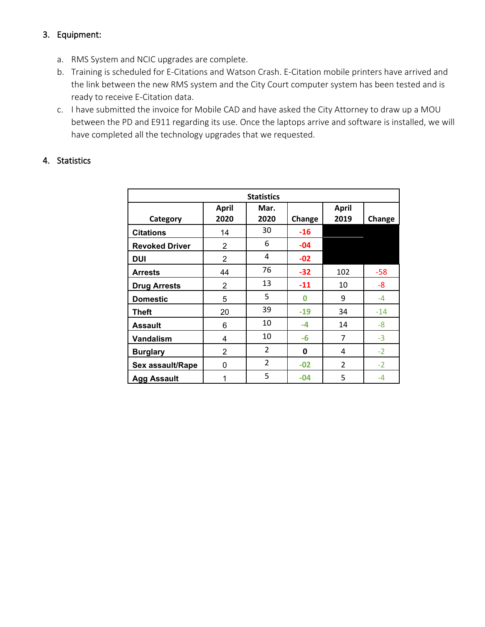### 3. Equipment:

- a. RMS System and NCIC upgrades are complete.
- b. Training is scheduled for E-Citations and Watson Crash. E-Citation mobile printers have arrived and the link between the new RMS system and the City Court computer system has been tested and is ready to receive E-Citation data.
- c. I have submitted the invoice for Mobile CAD and have asked the City Attorney to draw up a MOU between the PD and E911 regarding its use. Once the laptops arrive and software is installed, we will have completed all the technology upgrades that we requested.

#### 4. Statistics

|                       |                | <b>Statistics</b> |        |                |        |
|-----------------------|----------------|-------------------|--------|----------------|--------|
|                       | <b>April</b>   | Mar.              |        | <b>April</b>   |        |
| Category              | 2020           | 2020              | Change | 2019           | Change |
| <b>Citations</b>      | 14             | 30                | $-16$  |                |        |
| <b>Revoked Driver</b> | $\overline{2}$ | 6                 | $-04$  |                |        |
| <b>DUI</b>            | $\overline{2}$ | 4                 | $-02$  |                |        |
| <b>Arrests</b>        | 44             | 76                | $-32$  | 102            | $-58$  |
| <b>Drug Arrests</b>   | $\overline{2}$ | 13                | $-11$  | 10             | -8     |
| <b>Domestic</b>       | 5              | 5                 | 0      | 9              | $-4$   |
| <b>Theft</b>          | 20             | 39                | $-19$  | 34             | $-14$  |
| <b>Assault</b>        | 6              | 10                | $-4$   | 14             | $-8$   |
| Vandalism             | 4              | 10                | -6     | 7              | $-3$   |
| <b>Burglary</b>       | $\overline{2}$ | $\overline{2}$    | 0      | 4              | $-2$   |
| Sex assault/Rape      | 0              | $\overline{2}$    | $-02$  | $\overline{2}$ | $-2$   |
| <b>Agg Assault</b>    | 1              | 5                 | $-04$  | 5              | -4     |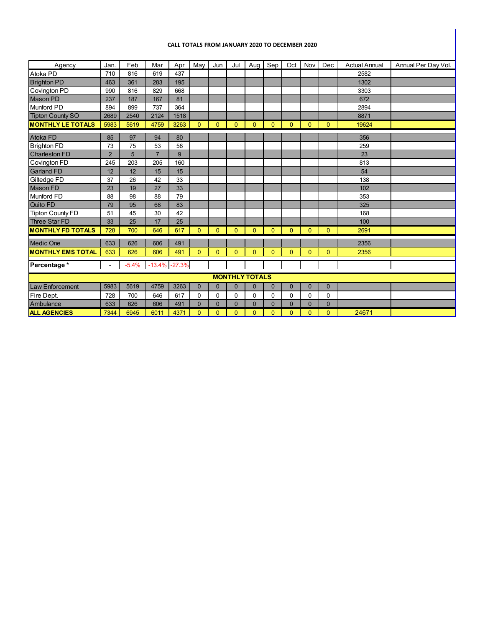#### **CALL TOTALS FROM JANUARY 2020 TO DECEMBER 2020**

| Agency                   | Jan.           | Feb     | Mar            | Apr      | May          | Jun            | Jul            | Aug                   | Sep          | Oct            | Nov          | Dec            | <b>Actual Annual</b> | Annual Per Day Vol. |
|--------------------------|----------------|---------|----------------|----------|--------------|----------------|----------------|-----------------------|--------------|----------------|--------------|----------------|----------------------|---------------------|
| Atoka PD                 | 710            | 816     | 619            | 437      |              |                |                |                       |              |                |              |                | 2582                 |                     |
| <b>Brighton PD</b>       | 463            | 361     | 283            | 195      |              |                |                |                       |              |                |              |                | 1302                 |                     |
| Covington PD             | 990            | 816     | 829            | 668      |              |                |                |                       |              |                |              |                | 3303                 |                     |
| <b>Mason PD</b>          | 237            | 187     | 167            | 81       |              |                |                |                       |              |                |              |                | 672                  |                     |
| Munford PD               | 894            | 899     | 737            | 364      |              |                |                |                       |              |                |              |                | 2894                 |                     |
| <b>Tipton County SO</b>  | 2689           | 2540    | 2124           | 1518     |              |                |                |                       |              |                |              |                | 8871                 |                     |
| <b>MONTHLY LE TOTALS</b> | 5983           | 5619    | 4759           | 3263     | $\Omega$     | $\Omega$       | $\Omega$       | $\Omega$              | $\mathbf{0}$ | $\Omega$       | $\mathbf{0}$ | $\mathbf{0}$   | 19624                |                     |
| Atoka FD                 | 85             | 97      | 94             | 80       |              |                |                |                       |              |                |              |                | 356                  |                     |
| <b>Brighton FD</b>       | 73             | 75      | 53             | 58       |              |                |                |                       |              |                |              |                | 259                  |                     |
| <b>Charleston FD</b>     | $\overline{2}$ | 5       | $\overline{7}$ | 9        |              |                |                |                       |              |                |              |                | 23                   |                     |
| Covington FD             | 245            | 203     | 205            | 160      |              |                |                |                       |              |                |              |                | 813                  |                     |
| <b>Garland FD</b>        | 12             | 12      | 15             | 15       |              |                |                |                       |              |                |              |                | 54                   |                     |
| Giltedge FD              | 37             | 26      | 42             | 33       |              |                |                |                       |              |                |              |                | 138                  |                     |
| Mason FD                 | 23             | 19      | 27             | 33       |              |                |                |                       |              |                |              |                | 102                  |                     |
| Munford FD               | 88             | 98      | 88             | 79       |              |                |                |                       |              |                |              |                | 353                  |                     |
| Quito FD                 | 79             | 95      | 68             | 83       |              |                |                |                       |              |                |              |                | 325                  |                     |
| <b>Tipton County FD</b>  | 51             | 45      | 30             | 42       |              |                |                |                       |              |                |              |                | 168                  |                     |
| <b>Three Star FD</b>     | 33             | 25      | 17             | 25       |              |                |                |                       |              |                |              |                | 100                  |                     |
| <b>MONTHLY FD TOTALS</b> | 728            | 700     | 646            | 617      | $\Omega$     | $\Omega$       | $\mathbf{0}$   | $\Omega$              | $\mathbf{0}$ | $\Omega$       | $\mathbf{0}$ | $\mathbf{0}$   | 2691                 |                     |
| Medic One                | 633            | 626     | 606            | 491      |              |                |                |                       |              |                |              |                | 2356                 |                     |
| <b>MONTHLY EMS TOTAL</b> | 633            | 626     | 606            | 491      | $\Omega$     | $\Omega$       | $\Omega$       | $\Omega$              | $\Omega$     | $\Omega$       | $\Omega$     | $\Omega$       | 2356                 |                     |
| Percentage*              |                | $-5.4%$ | $-13.4%$       | $-27.3%$ |              |                |                |                       |              |                |              |                |                      |                     |
|                          |                |         |                |          |              |                |                | <b>MONTHLY TOTALS</b> |              |                |              |                |                      |                     |
| <b>Law Enforcement</b>   | 5983           | 5619    | 4759           | 3263     | $\mathbf{0}$ | $\mathbf{0}$   | $\mathbf{0}$   | $\mathbf{0}$          | $\mathbf{0}$ | $\mathbf{0}$   | $\mathbf{0}$ | $\mathbf{0}$   |                      |                     |
| Fire Dept.               | 728            | 700     | 646            | 617      | $\Omega$     | $\Omega$       | $\Omega$       | $\Omega$              | $\mathbf 0$  | $\Omega$       | 0            | 0              |                      |                     |
| Ambulance                | 633            | 626     | 606            | 491      | $\Omega$     | $\overline{0}$ | $\mathbf{0}$   | $\Omega$              | $\mathbf{0}$ | $\Omega$       | $\mathbf{0}$ | $\overline{0}$ |                      |                     |
| <b>ALL AGENCIES</b>      | 7344           | 6945    | 6011           | 4371     | $\Omega$     | $\Omega$       | $\overline{0}$ | $\Omega$              | $\Omega$     | $\overline{0}$ | $\Omega$     | $\Omega$       | 24671                |                     |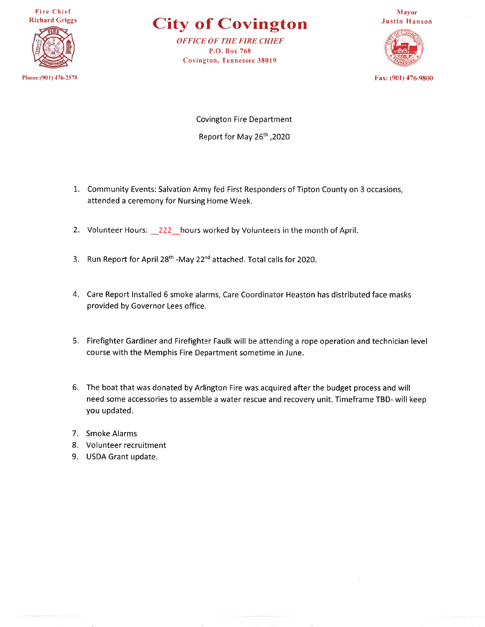**Fire Chief Richard Griggs** 



Phone: (901) 476-2578

**City of Covington** 

**OFFICE OF THE FIRE CHIEF** P.O. Box 768 Covington, Tennessee 38019



Fax: (901) 476-9800

**Covington Fire Department** Report for May 26th, 2020

- 1. Community Events: Salvation Army fed First Responders of Tipton County on 3 occasions, attended a ceremony for Nursing Home Week.
- 2. Volunteer Hours: 222 hours worked by Volunteers in the month of April.
- 3. Run Report for April 28<sup>th</sup> -May 22<sup>nd</sup> attached. Total calls for 2020.
- 4. Care Report Installed 6 smoke alarms, Care Coordinator Heaston has distributed face masks provided by Governor Lees office.
- 5. Firefighter Gardiner and Firefighter Faulk will be attending a rope operation and technician level course with the Memphis Fire Department sometime in June.
- 6. The boat that was donated by Arlington Fire was acquired after the budget process and will need some accessories to assemble a water rescue and recovery unit. Timeframe TBD- will keep you updated.
- 7. Smoke Alarms
- 8. Volunteer recruitment
- 9. USDA Grant update.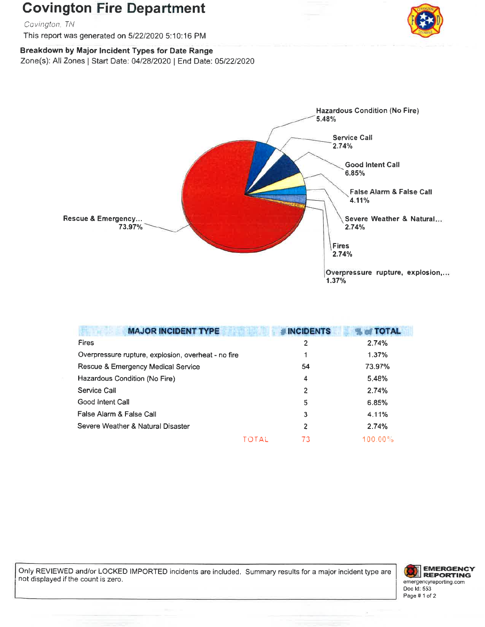## **Covington Fire Department**

Covington, TN

This report was generated on 5/22/2020 5:10:16 PM



Breakdown by Major Incident Types for Date Range

Zone(s): All Zones | Start Date: 04/28/2020 | End Date: 05/22/2020



| <b>MAJOR INCIDENT TYPE</b>                          | <b>#INCIDENTS</b> | % of TOTAL |
|-----------------------------------------------------|-------------------|------------|
| Fires                                               | 2                 | 2.74%      |
| Overpressure rupture, explosion, overheat - no fire |                   | 1.37%      |
| Rescue & Emergency Medical Service                  | 54                | 73.97%     |
| Hazardous Condition (No Fire)                       | $\overline{4}$    | 5.48%      |
| Service Call                                        | $\overline{2}$    | 2.74%      |
| Good Intent Call                                    | 5                 | 6.85%      |
| False Alarm & False Call                            | 3                 | 4.11%      |
| Severe Weather & Natural Disaster                   | $\mathbf{2}$      | 2.74%      |
|                                                     | 73<br>TOTAL       | $100.00\%$ |

Only REVIEWED and/or LOCKED IMPORTED incidents are included. Summary results for a major incident type are not displayed if the count is zero.

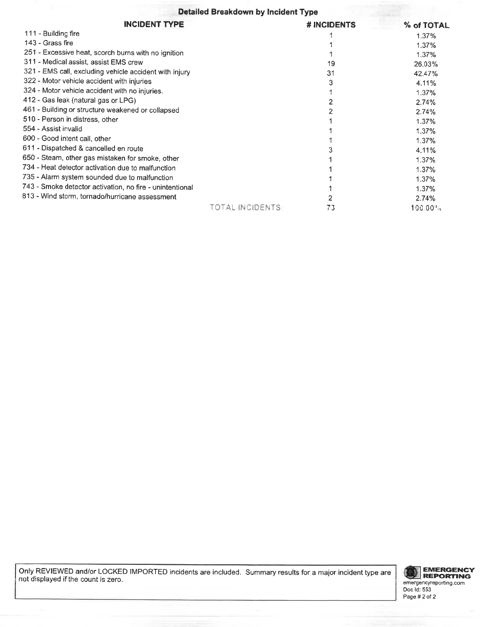#### Detailed Breakdown by Incident Type

| <b>INCIDENT TYPE</b>                                     |                 | # INCIDENTS | % of TOTAL      |
|----------------------------------------------------------|-----------------|-------------|-----------------|
| 111 - Building fire                                      |                 |             | 1.37%           |
| 143 - Grass fire                                         |                 |             | 1.37%           |
| 251 - Excessive heat, scorch burns with no ignition      |                 |             | 1.37%           |
| 311 - Medical assist, assist EMS crew                    |                 | 19          | 26.03%          |
| 321 - EMS call, excluding vehicle accident with injury   |                 | 31          | 42.47%          |
| 322 - Motor vehicle accident with injuries               |                 |             | 4.11%           |
| 324 - Motor vehicle accident with no injuries.           |                 |             | 1.37%           |
| 412 - Gas leak (natural gas or LPG)                      |                 |             | 2.74%           |
| 461 - Building or structure weakened or collapsed        |                 |             | 2.74%           |
| 510 - Person in distress, other                          |                 |             | 1.37%           |
| 554 - Assist invalid                                     |                 |             | 1.37%           |
| 600 - Good intent call, other                            |                 |             | 1.37%           |
| 611 - Dispatched & cancelled en route                    |                 |             | 4.11%           |
| 650 - Steam, other gas mistaken for smoke, other         |                 |             | 1.37%           |
| 734 - Heat detector activation due to malfunction        |                 |             | 1.37%           |
| 735 - Alarm system sounded due to malfunction            |                 |             | 1.37%           |
| 743 - Smoke detector activation, no fire - unintentional |                 |             | 1.37%           |
| 813 - Wind storm, tornado/hurricane assessment           |                 |             | 2.74%           |
|                                                          | TOTAL INCIDENTS | 73          | $100.00\degree$ |

Only REVIEWED and/or LOCKED IMPORTED incidents are included. Summary results for a major incident type are not displayed if the count is zero.

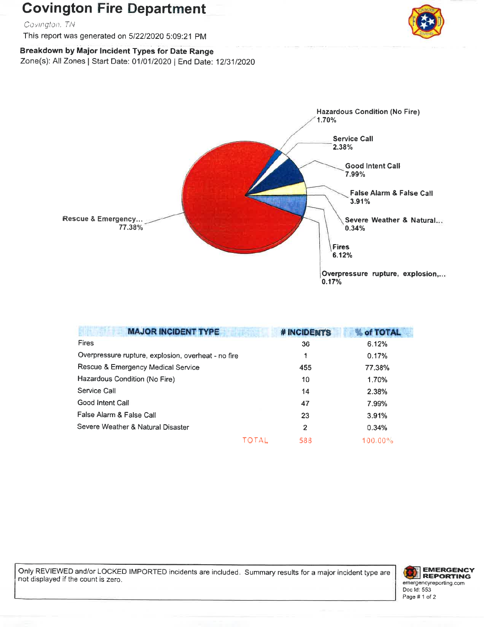## **Covington Fire Department**

Covington, TN

This report was generated on 5/22/2020 5:09:21 PM



Breakdown by Major Incident Types for Date Range Zone(s): All Zones | Start Date: 01/01/2020 | End Date: 12/31/2020



| <b>MAJOR INCIDENT TYPE</b>                          | # INCIDENTS | of TOTAL   |
|-----------------------------------------------------|-------------|------------|
| <b>Fires</b>                                        | 36          | 6.12%      |
| Overpressure rupture, explosion, overheat - no fire | 1           | 0.17%      |
| Rescue & Emergency Medical Service                  | 455         | 77.38%     |
| Hazardous Condition (No Fire)                       | 10          | 1.70%      |
| Service Call                                        | 14          | 2.38%      |
| Good Intent Call                                    | 47          | 7.99%      |
| False Alarm & False Call                            | 23          | 3.91%      |
| Severe Weather & Natural Disaster                   | 2           | 0.34%      |
| <b>TOTAL</b>                                        | 588         | $100.00\%$ |

Only REVIEWED and/or LOCKED IMPORTED incidents are included. Summary results for a major incident type are not displayed if the count is zero.

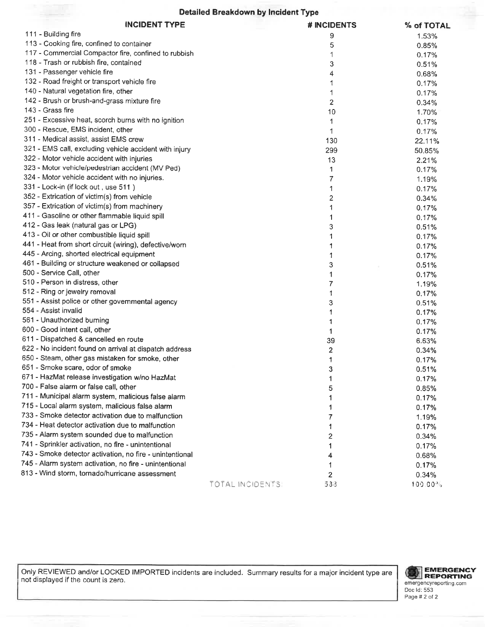#### **Detailed Breakdown by Incident Type**

| <b>INCIDENT TYPE</b>                                     |                 | # INCIDENTS | % of TOTAL          |
|----------------------------------------------------------|-----------------|-------------|---------------------|
| 111 - Building fire                                      |                 | 9           | 1.53%               |
| 113 - Cooking fire, confined to container                |                 | 5           | 0.85%               |
| 117 - Commercial Compactor fire, confined to rubbish     |                 | 1           | 0.17%               |
| 118 - Trash or rubbish fire, contained                   |                 | 3           | 0.51%               |
| 131 - Passenger vehicle fire                             |                 | 4           | 0.68%               |
| 132 - Road freight or transport vehicle fire             |                 | 1           | 0.17%               |
| 140 - Natural vegetation fire, other                     |                 | 1           | 0.17%               |
| 142 - Brush or brush-and-grass mixture fire              |                 | 2           | 0.34%               |
| 143 - Grass fire                                         |                 | 10          | 1.70%               |
| 251 - Excessive heat, scorch burns with no ignition      |                 | 1           | 0.17%               |
| 300 - Rescue, EMS incident, other                        |                 | 1           | 0.17%               |
| 311 - Medical assist, assist EMS crew                    |                 | 130         | 22.11%              |
| 321 - EMS call, excluding vehicle accident with injury   |                 | 299         | 50.85%              |
| 322 - Motor vehicle accident with injuries               |                 | 13          | 2.21%               |
| 323 - Motor vehicle/pedestrian accident (MV Ped)         |                 | 1           | 0.17%               |
| 324 - Motor vehicle accident with no injuries.           |                 | 7           | 1.19%               |
| 331 - Lock-in (if lock out, use 511)                     |                 | 1           | 0.17%               |
| 352 - Extrication of victim(s) from vehicle              |                 | 2           | 0.34%               |
| 357 - Extrication of victim(s) from machinery            |                 | 1           | 0.17%               |
| 411 - Gasoline or other flammable liquid spill           |                 | 1           | 0.17%               |
| 412 - Gas leak (natural gas or LPG)                      |                 | 3           | 0.51%               |
| 413 - Oil or other combustible liquid spill              |                 | 1           | 0.17%               |
| 441 - Heat from short circuit (wiring), defective/worn   |                 | 1           | 0.17%               |
| 445 - Arcing, shorted electrical equipment               |                 | 1           | 0.17%               |
| 461 - Building or structure weakened or collapsed        |                 | 3           | 0.51%               |
| 500 - Service Call, other                                |                 | 1           | 0.17%               |
| 510 - Person in distress, other                          |                 | 7           | 1.19%               |
| 512 - Ring or jewelry removal                            |                 | 1           | 0.17%               |
| 551 - Assist police or other governmental agency         |                 | 3           | 0.51%               |
| 554 - Assist invalid                                     |                 | 1           | 0.17%               |
| 561 - Unauthorized burning                               |                 | 1           | 0.17%               |
| 600 - Good intent call, other                            |                 | 1           | 0.17%               |
| 611 - Dispatched & cancelled en route                    |                 | 39          | 6.63%               |
| 622 - No incident found on arrival at dispatch address   |                 | 2           | 0.34%               |
| 650 - Steam, other gas mistaken for smoke, other         |                 | 1           | 0.17%               |
| 651 - Smoke scare, odor of smoke                         |                 | ٩           | 0.51%               |
| 671 - HazMat release investigation w/no HazMat           |                 | 1           | 0.17%               |
| 700 - False alarm or false call, other                   |                 | 5           | 0.85%               |
| 711 - Municipal alarm system, malicious false alarm      |                 |             | 0.17%               |
| 715 - Local alarm system, malicious false alarm          |                 |             | 0.17%               |
| 733 - Smoke detector activation due to malfunction       |                 | 7           | 1.19%               |
| 734 - Heat detector activation due to malfunction        |                 |             | 0.17%               |
| 735 - Alarm system sounded due to malfunction            |                 | 2           | 0.34%               |
| 741 - Sprinkler activation, no fire - unintentional      |                 |             | 0.17%               |
| 743 - Smoke detector activation, no fire - unintentional |                 | 4           | 0.68%               |
| 745 - Alarm system activation, no fire - unintentional   |                 |             | 0.17%               |
| 813 - Wind storm, tornado/hurricane assessment           |                 | 2           | 0.34%               |
|                                                          | TOTAL INCIDENTS | 533         | 100.00 <sup>a</sup> |
|                                                          |                 |             |                     |

Only REVIEWED and/or LOCKED IMPORTED incidents are included. Summary results for a major incident type are not displayed if the count is zero.